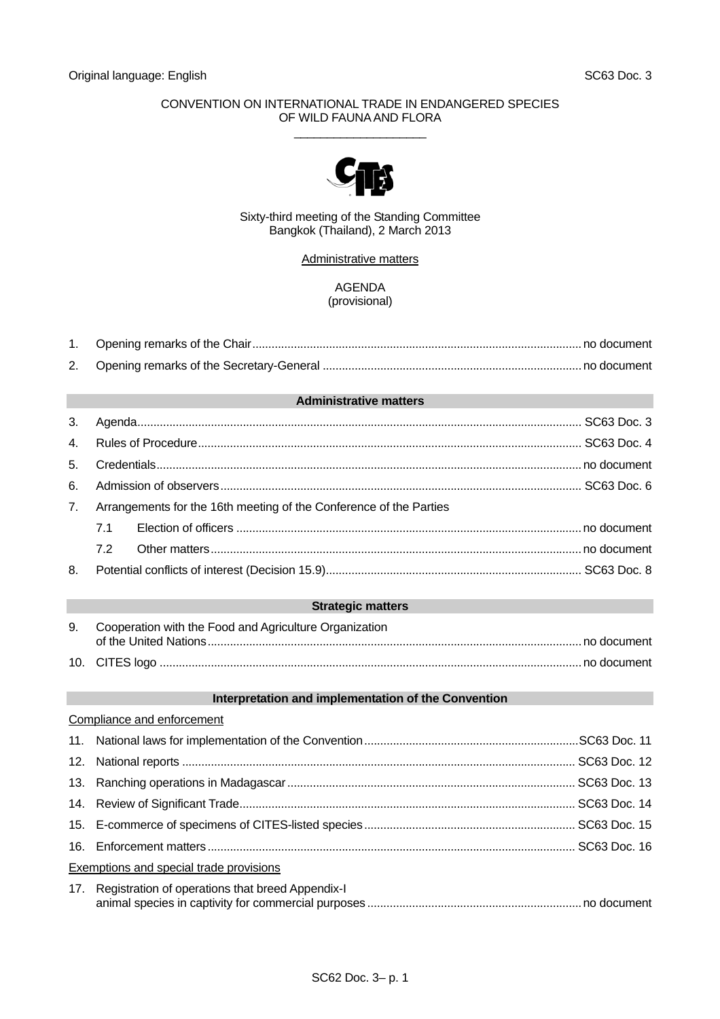#### CONVENTION ON INTERNATIONAL TRADE IN ENDANGERED SPECIES OF WILD FAUNA AND FLORA  $\_$



#### Sixty-third meeting of the Standing Committee Bangkok (Thailand), 2 March 2013

Administrative matters

### AGENDA (provisional)

#### **Administrative matters**

| 3.             |                                                                    |                          |  |
|----------------|--------------------------------------------------------------------|--------------------------|--|
| 4 <sub>1</sub> |                                                                    |                          |  |
| 5.             |                                                                    |                          |  |
| 6.             |                                                                    |                          |  |
| 7 <sub>1</sub> | Arrangements for the 16th meeting of the Conference of the Parties |                          |  |
|                | 7.1                                                                |                          |  |
|                | 7.2                                                                |                          |  |
| 8.             |                                                                    |                          |  |
|                |                                                                    |                          |  |
|                |                                                                    | <b>Strategic matters</b> |  |
|                |                                                                    |                          |  |

| 9. Cooperation with the Food and Agriculture Organization |
|-----------------------------------------------------------|
|                                                           |
|                                                           |

#### **Interpretation and implementation of the Convention**

| Compliance and enforcement                           |  |
|------------------------------------------------------|--|
|                                                      |  |
|                                                      |  |
|                                                      |  |
|                                                      |  |
|                                                      |  |
|                                                      |  |
| Exemptions and special trade provisions              |  |
| 17. Registration of operations that breed Appendix-I |  |